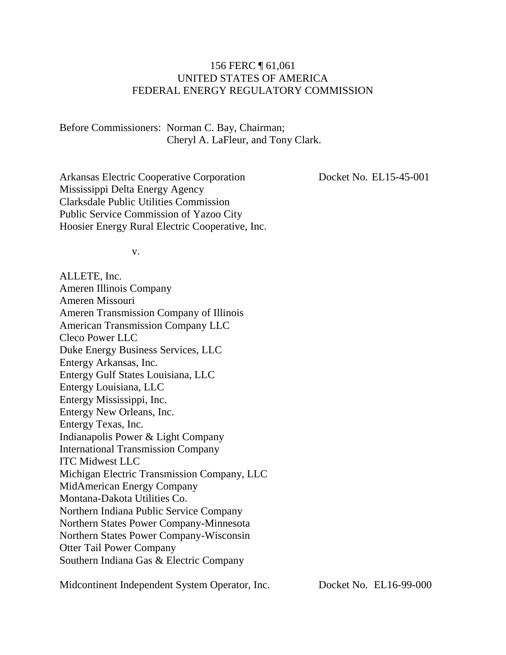#### 156 FERC ¶ 61,061 UNITED STATES OF AMERICA FEDERAL ENERGY REGULATORY COMMISSION

Before Commissioners: Norman C. Bay, Chairman; Cheryl A. LaFleur, and Tony Clark.

Arkansas Electric Cooperative Corporation Mississippi Delta Energy Agency Clarksdale Public Utilities Commission Public Service Commission of Yazoo City Hoosier Energy Rural Electric Cooperative, Inc. Docket No. EL15-45-001

v.

ALLETE, Inc. Ameren Illinois Company Ameren Missouri Ameren Transmission Company of Illinois American Transmission Company LLC Cleco Power LLC Duke Energy Business Services, LLC Entergy Arkansas, Inc. Entergy Gulf States Louisiana, LLC Entergy Louisiana, LLC Entergy Mississippi, Inc. Entergy New Orleans, Inc. Entergy Texas, Inc. Indianapolis Power & Light Company International Transmission Company ITC Midwest LLC Michigan Electric Transmission Company, LLC MidAmerican Energy Company Montana-Dakota Utilities Co. Northern Indiana Public Service Company Northern States Power Company-Minnesota Northern States Power Company-Wisconsin Otter Tail Power Company Southern Indiana Gas & Electric Company

Midcontinent Independent System Operator, Inc.

Docket No. EL16-99-000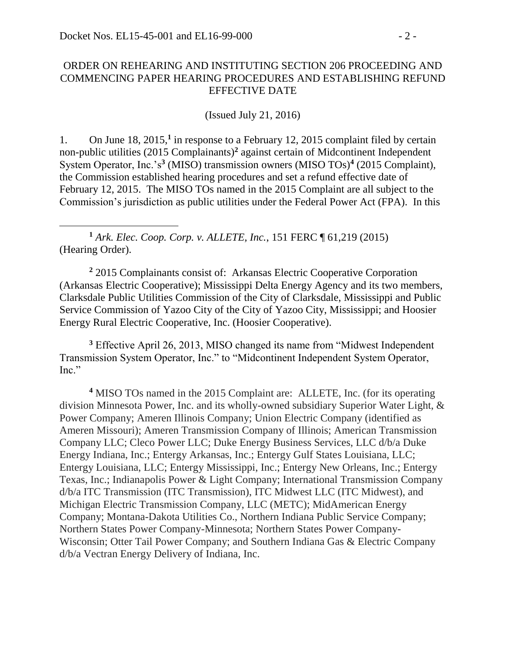#### ORDER ON REHEARING AND INSTITUTING SECTION 206 PROCEEDING AND COMMENCING PAPER HEARING PROCEDURES AND ESTABLISHING REFUND EFFECTIVE DATE

(Issued July 21, 2016)

1. On June 18, 2015,<sup>1</sup> in response to a February 12, 2015 complaint filed by certain non-public utilities (2015 Complainants) **2** against certain of Midcontinent Independent System Operator, Inc.'s**<sup>3</sup>** (MISO) transmission owners (MISO TOs)**<sup>4</sup>** (2015 Complaint), the Commission established hearing procedures and set a refund effective date of February 12, 2015. The MISO TOs named in the 2015 Complaint are all subject to the Commission's jurisdiction as public utilities under the Federal Power Act (FPA). In this

**<sup>1</sup>** *Ark. Elec. Coop. Corp. v. ALLETE, Inc.*, 151 FERC ¶ 61,219 (2015) (Hearing Order).

**<sup>2</sup>** 2015 Complainants consist of: Arkansas Electric Cooperative Corporation (Arkansas Electric Cooperative); Mississippi Delta Energy Agency and its two members, Clarksdale Public Utilities Commission of the City of Clarksdale, Mississippi and Public Service Commission of Yazoo City of the City of Yazoo City, Mississippi; and Hoosier Energy Rural Electric Cooperative, Inc. (Hoosier Cooperative).

**<sup>3</sup>** Effective April 26, 2013, MISO changed its name from "Midwest Independent Transmission System Operator, Inc." to "Midcontinent Independent System Operator, Inc."

**<sup>4</sup>** MISO TOs named in the 2015 Complaint are: ALLETE, Inc. (for its operating division Minnesota Power, Inc. and its wholly-owned subsidiary Superior Water Light, & Power Company; Ameren Illinois Company; Union Electric Company (identified as Ameren Missouri); Ameren Transmission Company of Illinois; American Transmission Company LLC; Cleco Power LLC; Duke Energy Business Services, LLC d/b/a Duke Energy Indiana, Inc.; Entergy Arkansas, Inc.; Entergy Gulf States Louisiana, LLC; Entergy Louisiana, LLC; Entergy Mississippi, Inc.; Entergy New Orleans, Inc.; Entergy Texas, Inc.; Indianapolis Power & Light Company; International Transmission Company d/b/a ITC Transmission (ITC Transmission), ITC Midwest LLC (ITC Midwest), and Michigan Electric Transmission Company, LLC (METC); MidAmerican Energy Company; Montana-Dakota Utilities Co., Northern Indiana Public Service Company; Northern States Power Company-Minnesota; Northern States Power Company-Wisconsin; Otter Tail Power Company; and Southern Indiana Gas & Electric Company d/b/a Vectran Energy Delivery of Indiana, Inc.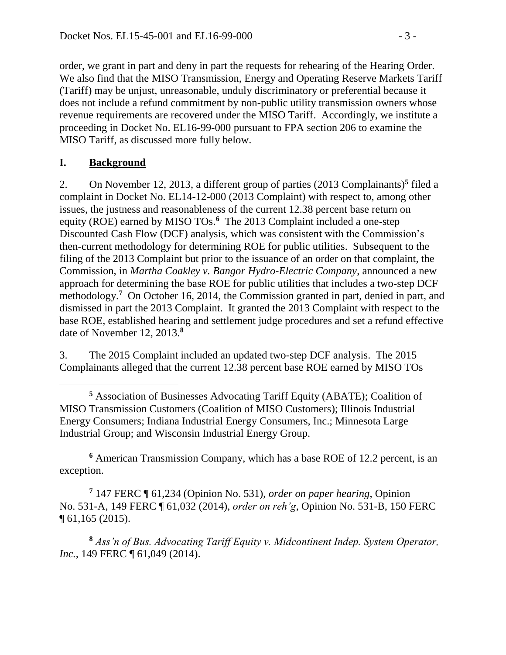order, we grant in part and deny in part the requests for rehearing of the Hearing Order. We also find that the MISO Transmission, Energy and Operating Reserve Markets Tariff (Tariff) may be unjust, unreasonable, unduly discriminatory or preferential because it does not include a refund commitment by non-public utility transmission owners whose revenue requirements are recovered under the MISO Tariff. Accordingly, we institute a proceeding in Docket No. EL16-99-000 pursuant to FPA section 206 to examine the MISO Tariff, as discussed more fully below.

## **I. Background**

2. On November 12, 2013, a different group of parties (2013 Complainants)**<sup>5</sup>** filed a complaint in Docket No. EL14-12-000 (2013 Complaint) with respect to, among other issues, the justness and reasonableness of the current 12.38 percent base return on equity (ROE) earned by MISO TOs. **<sup>6</sup>** The 2013 Complaint included a one-step Discounted Cash Flow (DCF) analysis, which was consistent with the Commission's then-current methodology for determining ROE for public utilities. Subsequent to the filing of the 2013 Complaint but prior to the issuance of an order on that complaint, the Commission, in *Martha Coakley v. Bangor Hydro-Electric Company*, announced a new approach for determining the base ROE for public utilities that includes a two-step DCF methodology.**<sup>7</sup>** On October 16, 2014, the Commission granted in part, denied in part, and dismissed in part the 2013 Complaint. It granted the 2013 Complaint with respect to the base ROE, established hearing and settlement judge procedures and set a refund effective date of November 12, 2013.**<sup>8</sup>**

3. The 2015 Complaint included an updated two-step DCF analysis. The 2015 Complainants alleged that the current 12.38 percent base ROE earned by MISO TOs

**<sup>6</sup>** American Transmission Company, which has a base ROE of 12.2 percent, is an exception.

**<sup>7</sup>** 147 FERC ¶ 61,234 (Opinion No. 531), *order on paper hearing*, Opinion No. 531-A, 149 FERC ¶ 61,032 (2014), *order on reh'g*, Opinion No. 531-B, 150 FERC ¶ 61,165 (2015).

**<sup>8</sup>** *Ass'n of Bus. Advocating Tariff Equity v. Midcontinent Indep. System Operator, Inc.*, 149 FERC ¶ 61,049 (2014).

**<sup>5</sup>** Association of Businesses Advocating Tariff Equity (ABATE); Coalition of MISO Transmission Customers (Coalition of MISO Customers); Illinois Industrial Energy Consumers; Indiana Industrial Energy Consumers, Inc.; Minnesota Large Industrial Group; and Wisconsin Industrial Energy Group.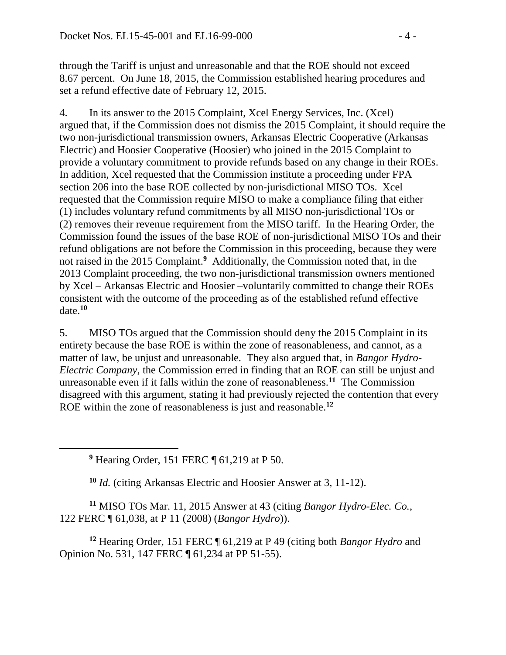through the Tariff is unjust and unreasonable and that the ROE should not exceed 8.67 percent. On June 18, 2015, the Commission established hearing procedures and set a refund effective date of February 12, 2015.

4. In its answer to the 2015 Complaint, Xcel Energy Services, Inc. (Xcel) argued that, if the Commission does not dismiss the 2015 Complaint, it should require the two non-jurisdictional transmission owners, Arkansas Electric Cooperative (Arkansas Electric) and Hoosier Cooperative (Hoosier) who joined in the 2015 Complaint to provide a voluntary commitment to provide refunds based on any change in their ROEs. In addition, Xcel requested that the Commission institute a proceeding under FPA section 206 into the base ROE collected by non-jurisdictional MISO TOs. Xcel requested that the Commission require MISO to make a compliance filing that either (1) includes voluntary refund commitments by all MISO non-jurisdictional TOs or (2) removes their revenue requirement from the MISO tariff. In the Hearing Order, the Commission found the issues of the base ROE of non-jurisdictional MISO TOs and their refund obligations are not before the Commission in this proceeding, because they were not raised in the 2015 Complaint. **9** Additionally, the Commission noted that, in the 2013 Complaint proceeding, the two non-jurisdictional transmission owners mentioned by Xcel – Arkansas Electric and Hoosier –voluntarily committed to change their ROEs consistent with the outcome of the proceeding as of the established refund effective date.**<sup>10</sup>**

5. MISO TOs argued that the Commission should deny the 2015 Complaint in its entirety because the base ROE is within the zone of reasonableness, and cannot, as a matter of law, be unjust and unreasonable. They also argued that, in *Bangor Hydro-Electric Company*, the Commission erred in finding that an ROE can still be unjust and unreasonable even if it falls within the zone of reasonableness.**<sup>11</sup>** The Commission disagreed with this argument, stating it had previously rejected the contention that every ROE within the zone of reasonableness is just and reasonable. **12**

**<sup>9</sup>** Hearing Order, 151 FERC ¶ 61,219 at P 50.

**<sup>10</sup>** *Id.* (citing Arkansas Electric and Hoosier Answer at 3, 11-12).

**<sup>11</sup>** MISO TOs Mar. 11, 2015 Answer at 43 (citing *Bangor Hydro-Elec. Co.*, 122 FERC ¶ 61,038, at P 11 (2008) (*Bangor Hydro*)).

**<sup>12</sup>** Hearing Order, 151 FERC ¶ 61,219 at P 49 (citing both *Bangor Hydro* and Opinion No. 531, 147 FERC ¶ 61,234 at PP 51-55).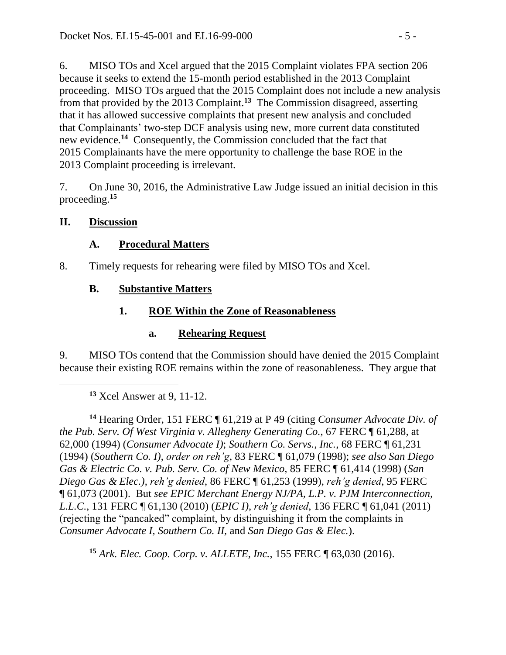6. MISO TOs and Xcel argued that the 2015 Complaint violates FPA section 206 because it seeks to extend the 15-month period established in the 2013 Complaint proceeding. MISO TOs argued that the 2015 Complaint does not include a new analysis from that provided by the 2013 Complaint.**<sup>13</sup>** The Commission disagreed, asserting that it has allowed successive complaints that present new analysis and concluded that Complainants' two-step DCF analysis using new, more current data constituted new evidence. **14** Consequently, the Commission concluded that the fact that 2015 Complainants have the mere opportunity to challenge the base ROE in the 2013 Complaint proceeding is irrelevant.

7. On June 30, 2016, the Administrative Law Judge issued an initial decision in this proceeding.**<sup>15</sup>**

### **II. Discussion**

### **A. Procedural Matters**

8. Timely requests for rehearing were filed by MISO TOs and Xcel.

## **B. Substantive Matters**

# **1. ROE Within the Zone of Reasonableness**

## **a. Rehearing Request**

9. MISO TOs contend that the Commission should have denied the 2015 Complaint because their existing ROE remains within the zone of reasonableness. They argue that

**<sup>13</sup>** Xcel Answer at 9, 11-12.

**<sup>14</sup>** Hearing Order, 151 FERC ¶ 61,219 at P 49 (citing *Consumer Advocate Div. of the Pub. Serv. Of West Virginia v. Allegheny Generating Co.*, 67 FERC ¶ 61,288, at 62,000 (1994) (*Consumer Advocate I)*; *Southern Co. Servs., Inc.*, 68 FERC ¶ 61,231 (1994) (*Southern Co. I)*, *order on reh'g*, 83 FERC ¶ 61,079 (1998); *see also San Diego Gas & Electric Co. v. Pub. Serv. Co. of New Mexico,* 85 FERC ¶ 61,414 (1998) (*San Diego Gas & Elec.)*, *reh'g denied*, 86 FERC ¶ 61,253 (1999), *reh'g denied*, 95 FERC ¶ 61,073 (2001). But *see EPIC Merchant Energy NJ/PA, L.P. v. PJM Interconnection, L.L.C.*, 131 FERC ¶ 61,130 (2010) (*EPIC I)*, *reh'g denied*, 136 FERC ¶ 61,041 (2011) (rejecting the "pancaked" complaint, by distinguishing it from the complaints in *Consumer Advocate I, Southern Co. II,* and *San Diego Gas & Elec.*).

**<sup>15</sup>** *Ark. Elec. Coop. Corp. v. ALLETE, Inc.*, 155 FERC ¶ 63,030 (2016).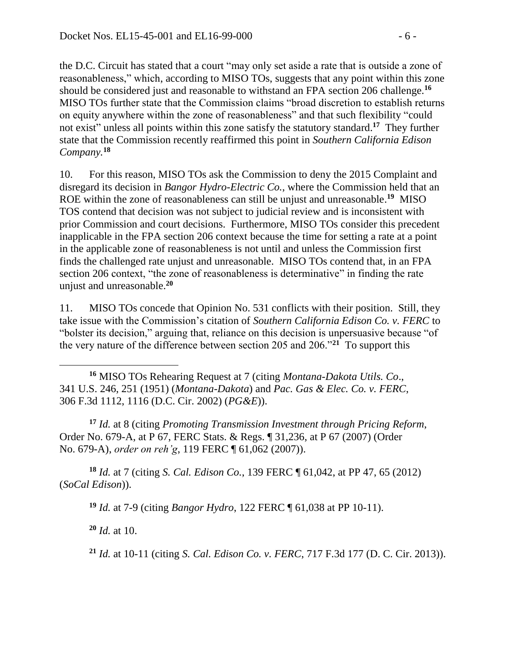the D.C. Circuit has stated that a court "may only set aside a rate that is outside a zone of reasonableness," which, according to MISO TOs, suggests that any point within this zone should be considered just and reasonable to withstand an FPA section 206 challenge.**<sup>16</sup>** MISO TOs further state that the Commission claims "broad discretion to establish returns on equity anywhere within the zone of reasonableness" and that such flexibility "could not exist" unless all points within this zone satisfy the statutory standard.**<sup>17</sup>** They further state that the Commission recently reaffirmed this point in *Southern California Edison Company.***<sup>18</sup>**

10. For this reason, MISO TOs ask the Commission to deny the 2015 Complaint and disregard its decision in *Bangor Hydro-Electric Co.*, where the Commission held that an ROE within the zone of reasonableness can still be unjust and unreasonable. **<sup>19</sup>** MISO TOS contend that decision was not subject to judicial review and is inconsistent with prior Commission and court decisions. Furthermore, MISO TOs consider this precedent inapplicable in the FPA section 206 context because the time for setting a rate at a point in the applicable zone of reasonableness is not until and unless the Commission first finds the challenged rate unjust and unreasonable. MISO TOs contend that, in an FPA section 206 context, "the zone of reasonableness is determinative" in finding the rate unjust and unreasonable.**<sup>20</sup>**

11. MISO TOs concede that Opinion No. 531 conflicts with their position. Still, they take issue with the Commission's citation of *Southern California Edison Co. v. FERC* to "bolster its decision," arguing that, reliance on this decision is unpersuasive because "of the very nature of the difference between section 205 and 206."**<sup>21</sup>** To support this

**<sup>16</sup>** MISO TOs Rehearing Request at 7 (citing *Montana-Dakota Utils. Co*., 341 U.S. 246, 251 (1951) (*Montana-Dakota*) and *Pac. Gas & Elec. Co. v. FERC*, 306 F.3d 1112, 1116 (D.C. Cir. 2002) (*PG&E*)).

**<sup>17</sup>** *Id.* at 8 (citing *Promoting Transmission Investment through Pricing Reform*, Order No. 679-A, at P 67, FERC Stats. & Regs. ¶ 31,236, at P 67 (2007) (Order No. 679-A), *order on reh'g*, 119 FERC ¶ 61,062 (2007)).

**<sup>18</sup>** *Id.* at 7 (citing *S. Cal. Edison Co.*, 139 FERC ¶ 61,042, at PP 47, 65 (2012) (*SoCal Edison*)).

**<sup>19</sup>** *Id.* at 7-9 (citing *Bangor Hydro*, 122 FERC ¶ 61,038 at PP 10-11).

**<sup>20</sup>** *Id.* at 10.

**<sup>21</sup>** *Id.* at 10-11 (citing *S. Cal. Edison Co. v. FERC*, 717 F.3d 177 (D. C. Cir. 2013)).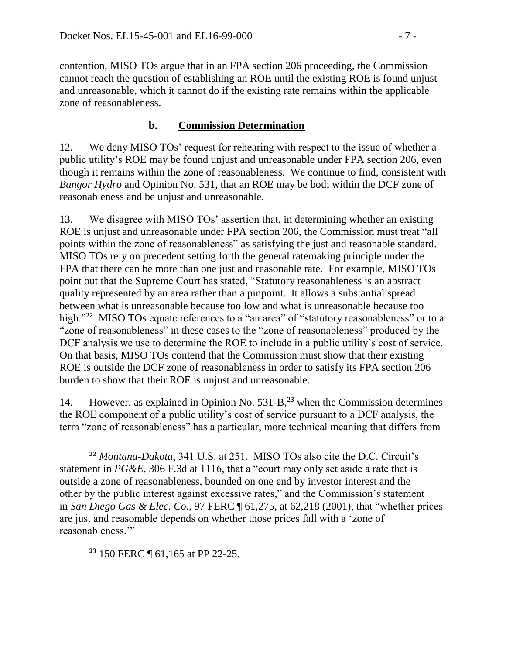contention, MISO TOs argue that in an FPA section 206 proceeding, the Commission cannot reach the question of establishing an ROE until the existing ROE is found unjust and unreasonable, which it cannot do if the existing rate remains within the applicable zone of reasonableness.

### **b. Commission Determination**

12. We deny MISO TOs' request for rehearing with respect to the issue of whether a public utility's ROE may be found unjust and unreasonable under FPA section 206, even though it remains within the zone of reasonableness. We continue to find, consistent with *Bangor Hydro* and Opinion No. 531, that an ROE may be both within the DCF zone of reasonableness and be unjust and unreasonable.

13. We disagree with MISO TOs' assertion that, in determining whether an existing ROE is unjust and unreasonable under FPA section 206, the Commission must treat "all points within the zone of reasonableness" as satisfying the just and reasonable standard. MISO TOs rely on precedent setting forth the general ratemaking principle under the FPA that there can be more than one just and reasonable rate. For example, MISO TOs point out that the Supreme Court has stated, "Statutory reasonableness is an abstract quality represented by an area rather than a pinpoint. It allows a substantial spread between what is unreasonable because too low and what is unreasonable because too high."<sup>22</sup> MISO TOs equate references to a "an area" of "statutory reasonableness" or to a "zone of reasonableness" in these cases to the "zone of reasonableness" produced by the DCF analysis we use to determine the ROE to include in a public utility's cost of service. On that basis, MISO TOs contend that the Commission must show that their existing ROE is outside the DCF zone of reasonableness in order to satisfy its FPA section 206 burden to show that their ROE is unjust and unreasonable.

14. However, as explained in Opinion No. 531-B,**<sup>23</sup>** when the Commission determines the ROE component of a public utility's cost of service pursuant to a DCF analysis, the term "zone of reasonableness" has a particular, more technical meaning that differs from

**<sup>23</sup>** 150 FERC ¶ 61,165 at PP 22-25.

 $\overline{a}$ 

**<sup>22</sup>** *Montana-Dakota*, 341 U.S. at 251. MISO TOs also cite the D.C. Circuit's statement in *PG&E*, 306 F.3d at 1116, that a "court may only set aside a rate that is outside a zone of reasonableness, bounded on one end by investor interest and the other by the public interest against excessive rates," and the Commission's statement in *San Diego Gas & Elec. Co.,* 97 FERC ¶ 61,275, at 62,218 (2001), that "whether prices are just and reasonable depends on whether those prices fall with a 'zone of reasonableness.'"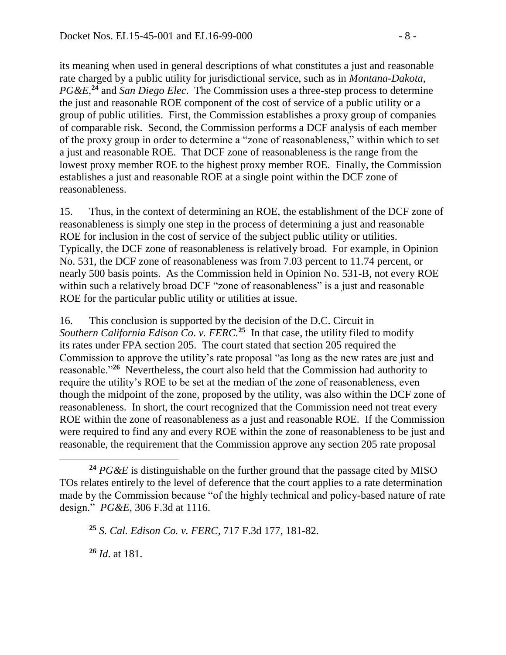its meaning when used in general descriptions of what constitutes a just and reasonable rate charged by a public utility for jurisdictional service, such as in *Montana-Dakota*, *PG&E*, **<sup>24</sup>** and *San Diego Elec*. The Commission uses a three-step process to determine the just and reasonable ROE component of the cost of service of a public utility or a group of public utilities. First, the Commission establishes a proxy group of companies of comparable risk. Second, the Commission performs a DCF analysis of each member of the proxy group in order to determine a "zone of reasonableness," within which to set a just and reasonable ROE. That DCF zone of reasonableness is the range from the lowest proxy member ROE to the highest proxy member ROE. Finally, the Commission establishes a just and reasonable ROE at a single point within the DCF zone of reasonableness.

15. Thus, in the context of determining an ROE, the establishment of the DCF zone of reasonableness is simply one step in the process of determining a just and reasonable ROE for inclusion in the cost of service of the subject public utility or utilities. Typically, the DCF zone of reasonableness is relatively broad. For example, in Opinion No. 531, the DCF zone of reasonableness was from 7.03 percent to 11.74 percent, or nearly 500 basis points. As the Commission held in Opinion No. 531-B, not every ROE within such a relatively broad DCF "zone of reasonableness" is a just and reasonable ROE for the particular public utility or utilities at issue.

16. This conclusion is supported by the decision of the D.C. Circuit in *Southern California Edison Co*. *v. FERC.* **25** In that case, the utility filed to modify its rates under FPA section 205. The court stated that section 205 required the Commission to approve the utility's rate proposal "as long as the new rates are just and reasonable."**<sup>26</sup>** Nevertheless, the court also held that the Commission had authority to require the utility's ROE to be set at the median of the zone of reasonableness, even though the midpoint of the zone, proposed by the utility, was also within the DCF zone of reasonableness. In short, the court recognized that the Commission need not treat every ROE within the zone of reasonableness as a just and reasonable ROE. If the Commission were required to find any and every ROE within the zone of reasonableness to be just and reasonable, the requirement that the Commission approve any section 205 rate proposal

**<sup>26</sup>** *Id*. at 181.

 $\overline{a}$ 

**<sup>24</sup>** *PG&E* is distinguishable on the further ground that the passage cited by MISO TOs relates entirely to the level of deference that the court applies to a rate determination made by the Commission because "of the highly technical and policy-based nature of rate design." *PG&E*, 306 F.3d at 1116.

**<sup>25</sup>** *S. Cal. Edison Co. v. FERC*, 717 F.3d 177, 181-82.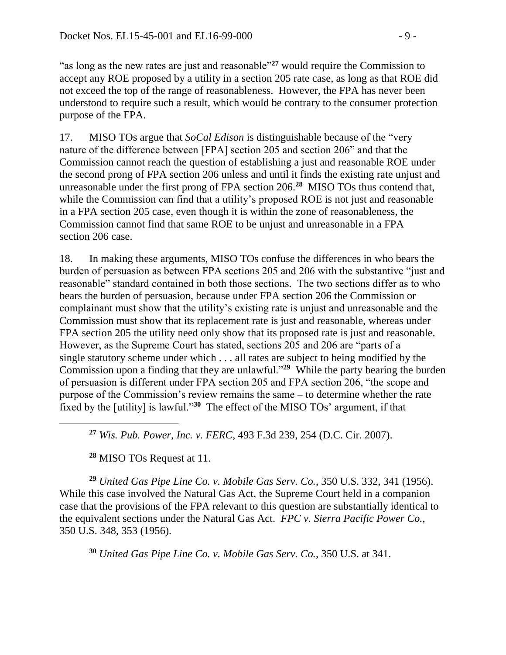"as long as the new rates are just and reasonable"**<sup>27</sup>** would require the Commission to accept any ROE proposed by a utility in a section 205 rate case, as long as that ROE did not exceed the top of the range of reasonableness. However, the FPA has never been understood to require such a result, which would be contrary to the consumer protection purpose of the FPA.

17. MISO TOs argue that *SoCal Edison* is distinguishable because of the "very nature of the difference between [FPA] section 205 and section 206" and that the Commission cannot reach the question of establishing a just and reasonable ROE under the second prong of FPA section 206 unless and until it finds the existing rate unjust and unreasonable under the first prong of FPA section 206. **28** MISO TOs thus contend that, while the Commission can find that a utility's proposed ROE is not just and reasonable in a FPA section 205 case, even though it is within the zone of reasonableness, the Commission cannot find that same ROE to be unjust and unreasonable in a FPA section 206 case.

18. In making these arguments, MISO TOs confuse the differences in who bears the burden of persuasion as between FPA sections 205 and 206 with the substantive "just and reasonable" standard contained in both those sections. The two sections differ as to who bears the burden of persuasion, because under FPA section 206 the Commission or complainant must show that the utility's existing rate is unjust and unreasonable and the Commission must show that its replacement rate is just and reasonable, whereas under FPA section 205 the utility need only show that its proposed rate is just and reasonable. However, as the Supreme Court has stated, sections 205 and 206 are "parts of a single statutory scheme under which . . . all rates are subject to being modified by the Commission upon a finding that they are unlawful."**<sup>29</sup>** While the party bearing the burden of persuasion is different under FPA section 205 and FPA section 206, "the scope and purpose of the Commission's review remains the same – to determine whether the rate fixed by the [utility] is lawful."**<sup>30</sup>** The effect of the MISO TOs' argument, if that

**<sup>27</sup>** *Wis. Pub. Power, Inc. v. FERC*, 493 F.3d 239, 254 (D.C. Cir. 2007).

**<sup>28</sup>** MISO TOs Request at 11.

**<sup>29</sup>** *United Gas Pipe Line Co. v. Mobile Gas Serv. Co.*, 350 U.S. 332, 341 (1956). While this case involved the Natural Gas Act, the Supreme Court held in a companion case that the provisions of the FPA relevant to this question are substantially identical to the equivalent sections under the Natural Gas Act. *FPC v. Sierra Pacific Power Co.*, 350 U.S. 348, 353 (1956).

**<sup>30</sup>** *United Gas Pipe Line Co. v. Mobile Gas Serv. Co.*, 350 U.S. at 341.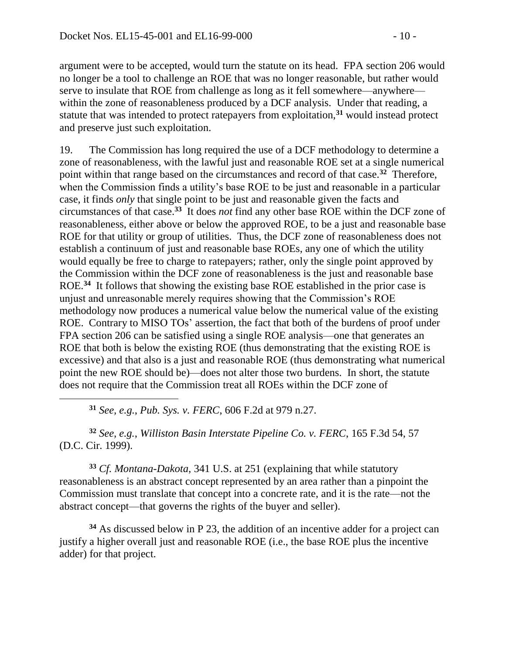argument were to be accepted, would turn the statute on its head. FPA section 206 would no longer be a tool to challenge an ROE that was no longer reasonable, but rather would serve to insulate that ROE from challenge as long as it fell somewhere—anywhere within the zone of reasonableness produced by a DCF analysis. Under that reading, a statute that was intended to protect ratepayers from exploitation,**<sup>31</sup>** would instead protect and preserve just such exploitation.

19. The Commission has long required the use of a DCF methodology to determine a zone of reasonableness, with the lawful just and reasonable ROE set at a single numerical point within that range based on the circumstances and record of that case.**<sup>32</sup>** Therefore, when the Commission finds a utility's base ROE to be just and reasonable in a particular case, it finds *only* that single point to be just and reasonable given the facts and circumstances of that case.**<sup>33</sup>** It does *not* find any other base ROE within the DCF zone of reasonableness, either above or below the approved ROE, to be a just and reasonable base ROE for that utility or group of utilities. Thus, the DCF zone of reasonableness does not establish a continuum of just and reasonable base ROEs, any one of which the utility would equally be free to charge to ratepayers; rather, only the single point approved by the Commission within the DCF zone of reasonableness is the just and reasonable base ROE.<sup>34</sup> It follows that showing the existing base ROE established in the prior case is unjust and unreasonable merely requires showing that the Commission's ROE methodology now produces a numerical value below the numerical value of the existing ROE. Contrary to MISO TOs' assertion, the fact that both of the burdens of proof under FPA section 206 can be satisfied using a single ROE analysis—one that generates an ROE that both is below the existing ROE (thus demonstrating that the existing ROE is excessive) and that also is a just and reasonable ROE (thus demonstrating what numerical point the new ROE should be)—does not alter those two burdens. In short, the statute does not require that the Commission treat all ROEs within the DCF zone of

**<sup>31</sup>** *See, e.g.*, *Pub. Sys. v. FERC*, 606 F.2d at 979 n.27.

**<sup>32</sup>** *See, e.g.*, *Williston Basin Interstate Pipeline Co. v. FERC*, 165 F.3d 54, 57 (D.C. Cir. 1999).

**<sup>33</sup>** *Cf. Montana-Dakota*, 341 U.S. at 251 (explaining that while statutory reasonableness is an abstract concept represented by an area rather than a pinpoint the Commission must translate that concept into a concrete rate, and it is the rate—not the abstract concept—that governs the rights of the buyer and seller).

**<sup>34</sup>** As discussed below in P 23, the addition of an incentive adder for a project can justify a higher overall just and reasonable ROE (i.e., the base ROE plus the incentive adder) for that project.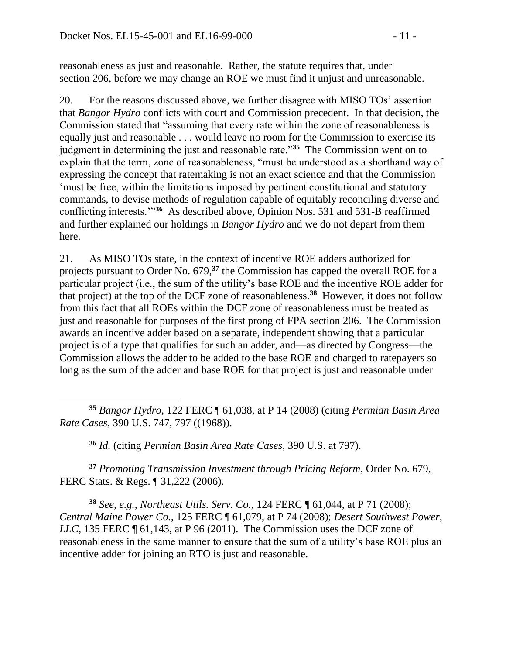reasonableness as just and reasonable. Rather, the statute requires that, under section 206, before we may change an ROE we must find it unjust and unreasonable.

20. For the reasons discussed above, we further disagree with MISO TOs' assertion that *Bangor Hydro* conflicts with court and Commission precedent. In that decision, the Commission stated that "assuming that every rate within the zone of reasonableness is equally just and reasonable . . . would leave no room for the Commission to exercise its judgment in determining the just and reasonable rate."**<sup>35</sup>** The Commission went on to explain that the term, zone of reasonableness, "must be understood as a shorthand way of expressing the concept that ratemaking is not an exact science and that the Commission 'must be free, within the limitations imposed by pertinent constitutional and statutory commands, to devise methods of regulation capable of equitably reconciling diverse and conflicting interests.'"**<sup>36</sup>** As described above, Opinion Nos. 531 and 531-B reaffirmed and further explained our holdings in *Bangor Hydro* and we do not depart from them here.

21. As MISO TOs state, in the context of incentive ROE adders authorized for projects pursuant to Order No. 679, **<sup>37</sup>** the Commission has capped the overall ROE for a particular project (i.e., the sum of the utility's base ROE and the incentive ROE adder for that project) at the top of the DCF zone of reasonableness.**<sup>38</sup>** However, it does not follow from this fact that all ROEs within the DCF zone of reasonableness must be treated as just and reasonable for purposes of the first prong of FPA section 206. The Commission awards an incentive adder based on a separate, independent showing that a particular project is of a type that qualifies for such an adder, and—as directed by Congress—the Commission allows the adder to be added to the base ROE and charged to ratepayers so long as the sum of the adder and base ROE for that project is just and reasonable under

 **<sup>35</sup>** *Bangor Hydro*, 122 FERC ¶ 61,038, at P 14 (2008) (citing *Permian Basin Area Rate Cases*, 390 U.S. 747, 797 ((1968)).

**<sup>36</sup>** *Id.* (citing *Permian Basin Area Rate Cases*, 390 U.S. at 797).

**<sup>37</sup>** *Promoting Transmission Investment through Pricing Reform*, Order No. 679, FERC Stats. & Regs. ¶ 31,222 (2006).

**<sup>38</sup>** *See, e.g.*, *Northeast Utils. Serv. Co.*, 124 FERC ¶ 61,044, at P 71 (2008); *Central Maine Power Co.*, 125 FERC ¶ 61,079, at P 74 (2008); *Desert Southwest Power, LLC*, 135 FERC ¶ 61,143, at P 96 (2011). The Commission uses the DCF zone of reasonableness in the same manner to ensure that the sum of a utility's base ROE plus an incentive adder for joining an RTO is just and reasonable.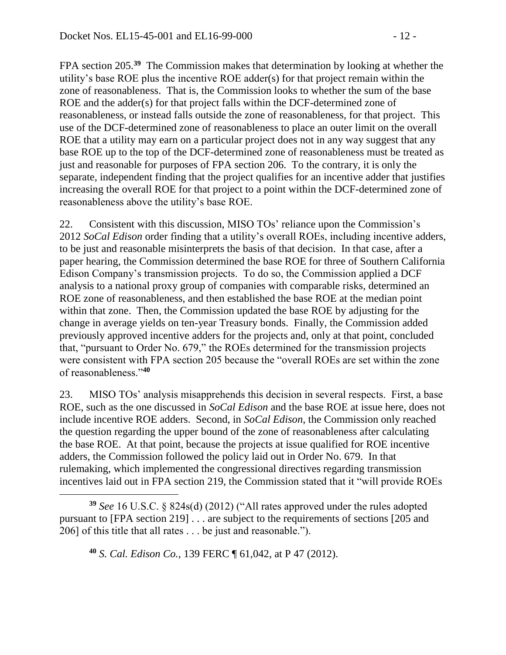FPA section 205.**<sup>39</sup>** The Commission makes that determination by looking at whether the utility's base ROE plus the incentive ROE adder(s) for that project remain within the zone of reasonableness. That is, the Commission looks to whether the sum of the base ROE and the adder(s) for that project falls within the DCF-determined zone of reasonableness, or instead falls outside the zone of reasonableness, for that project. This use of the DCF-determined zone of reasonableness to place an outer limit on the overall ROE that a utility may earn on a particular project does not in any way suggest that any base ROE up to the top of the DCF-determined zone of reasonableness must be treated as just and reasonable for purposes of FPA section 206. To the contrary, it is only the separate, independent finding that the project qualifies for an incentive adder that justifies increasing the overall ROE for that project to a point within the DCF-determined zone of reasonableness above the utility's base ROE.

22. Consistent with this discussion, MISO TOs' reliance upon the Commission's 2012 *SoCal Edison* order finding that a utility's overall ROEs, including incentive adders, to be just and reasonable misinterprets the basis of that decision. In that case, after a paper hearing, the Commission determined the base ROE for three of Southern California Edison Company's transmission projects. To do so, the Commission applied a DCF analysis to a national proxy group of companies with comparable risks, determined an ROE zone of reasonableness, and then established the base ROE at the median point within that zone. Then, the Commission updated the base ROE by adjusting for the change in average yields on ten-year Treasury bonds. Finally, the Commission added previously approved incentive adders for the projects and, only at that point, concluded that, "pursuant to Order No. 679," the ROEs determined for the transmission projects were consistent with FPA section 205 because the "overall ROEs are set within the zone of reasonableness."**<sup>40</sup>**

23. MISO TOs' analysis misapprehends this decision in several respects. First, a base ROE, such as the one discussed in *SoCal Edison* and the base ROE at issue here, does not include incentive ROE adders. Second, in *SoCal Edison*, the Commission only reached the question regarding the upper bound of the zone of reasonableness after calculating the base ROE. At that point, because the projects at issue qualified for ROE incentive adders, the Commission followed the policy laid out in Order No. 679. In that rulemaking, which implemented the congressional directives regarding transmission incentives laid out in FPA section 219, the Commission stated that it "will provide ROEs

**<sup>40</sup>** *S. Cal. Edison Co.*, 139 FERC ¶ 61,042, at P 47 (2012).

 $\overline{a}$ 

**<sup>39</sup>** *See* 16 U.S.C. § 824s(d) (2012) ("All rates approved under the rules adopted pursuant to [FPA section 219] . . . are subject to the requirements of sections [205 and 206] of this title that all rates . . . be just and reasonable.").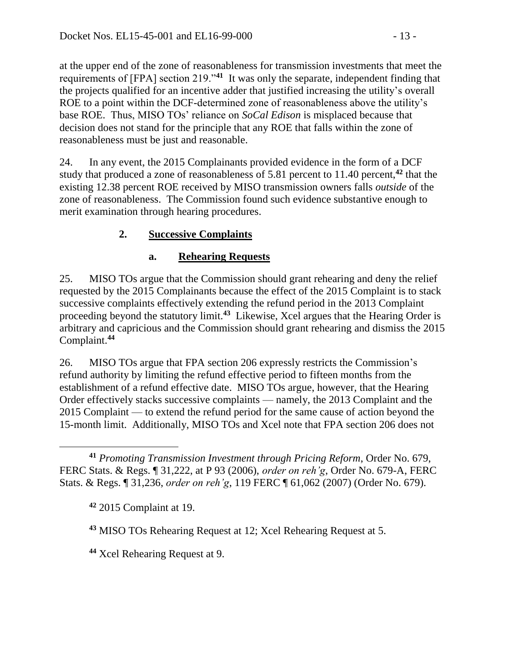at the upper end of the zone of reasonableness for transmission investments that meet the requirements of [FPA] section 219."**<sup>41</sup>** It was only the separate, independent finding that the projects qualified for an incentive adder that justified increasing the utility's overall ROE to a point within the DCF-determined zone of reasonableness above the utility's base ROE. Thus, MISO TOs' reliance on *SoCal Edison* is misplaced because that decision does not stand for the principle that any ROE that falls within the zone of reasonableness must be just and reasonable.

24. In any event, the 2015 Complainants provided evidence in the form of a DCF study that produced a zone of reasonableness of 5.81 percent to 11.40 percent,**<sup>42</sup>** that the existing 12.38 percent ROE received by MISO transmission owners falls *outside* of the zone of reasonableness. The Commission found such evidence substantive enough to merit examination through hearing procedures.

# **2. Successive Complaints**

### **a. Rehearing Requests**

25. MISO TOs argue that the Commission should grant rehearing and deny the relief requested by the 2015 Complainants because the effect of the 2015 Complaint is to stack successive complaints effectively extending the refund period in the 2013 Complaint proceeding beyond the statutory limit.**<sup>43</sup>** Likewise, Xcel argues that the Hearing Order is arbitrary and capricious and the Commission should grant rehearing and dismiss the 2015 Complaint.**<sup>44</sup>**

26. MISO TOs argue that FPA section 206 expressly restricts the Commission's refund authority by limiting the refund effective period to fifteen months from the establishment of a refund effective date. MISO TOs argue, however, that the Hearing Order effectively stacks successive complaints — namely, the 2013 Complaint and the 2015 Complaint — to extend the refund period for the same cause of action beyond the 15-month limit. Additionally, MISO TOs and Xcel note that FPA section 206 does not

 $\overline{a}$ **<sup>41</sup>** *Promoting Transmission Investment through Pricing Reform*, Order No. 679, FERC Stats. & Regs. ¶ 31,222, at P 93 (2006), *order on reh'g*, Order No. 679-A, FERC Stats. & Regs. ¶ 31,236, *order on reh'g*, 119 FERC ¶ 61,062 (2007) (Order No. 679).

**<sup>42</sup>** 2015 Complaint at 19.

**<sup>43</sup>** MISO TOs Rehearing Request at 12; Xcel Rehearing Request at 5.

**<sup>44</sup>** Xcel Rehearing Request at 9.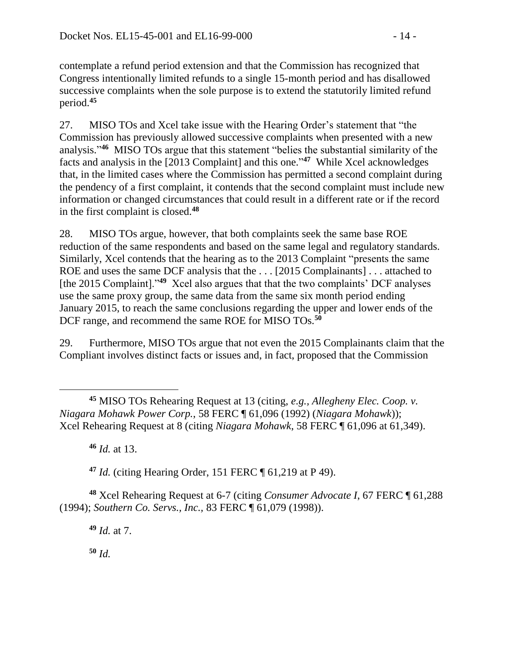contemplate a refund period extension and that the Commission has recognized that Congress intentionally limited refunds to a single 15-month period and has disallowed successive complaints when the sole purpose is to extend the statutorily limited refund period.**<sup>45</sup>**

27. MISO TOs and Xcel take issue with the Hearing Order's statement that "the Commission has previously allowed successive complaints when presented with a new analysis." **<sup>46</sup>** MISO TOs argue that this statement "belies the substantial similarity of the facts and analysis in the [2013 Complaint] and this one." **47** While Xcel acknowledges that, in the limited cases where the Commission has permitted a second complaint during the pendency of a first complaint, it contends that the second complaint must include new information or changed circumstances that could result in a different rate or if the record in the first complaint is closed. **48**

28. MISO TOs argue, however, that both complaints seek the same base ROE reduction of the same respondents and based on the same legal and regulatory standards. Similarly, Xcel contends that the hearing as to the 2013 Complaint "presents the same ROE and uses the same DCF analysis that the . . . [2015 Complainants] . . . attached to [the 2015 Complaint]."**<sup>49</sup>** Xcel also argues that that the two complaints' DCF analyses use the same proxy group, the same data from the same six month period ending January 2015, to reach the same conclusions regarding the upper and lower ends of the DCF range, and recommend the same ROE for MISO TOs.**<sup>50</sup>**

29. Furthermore, MISO TOs argue that not even the 2015 Complainants claim that the Compliant involves distinct facts or issues and, in fact, proposed that the Commission

**<sup>45</sup>** MISO TOs Rehearing Request at 13 (citing, *e.g., Allegheny Elec. Coop. v. Niagara Mohawk Power Corp.*, 58 FERC ¶ 61,096 (1992) (*Niagara Mohawk*)); Xcel Rehearing Request at 8 (citing *Niagara Mohawk*, 58 FERC ¶ 61,096 at 61,349).

**<sup>46</sup>** *Id.* at 13.

 $\overline{a}$ 

**<sup>47</sup>** *Id.* (citing Hearing Order, 151 FERC ¶ 61,219 at P 49).

**<sup>48</sup>** Xcel Rehearing Request at 6-7 (citing *Consumer Advocate I*, 67 FERC ¶ 61,288 (1994); *Southern Co. Servs., Inc.,* 83 FERC ¶ 61,079 (1998)).

**<sup>49</sup>** *Id.* at 7.

**<sup>50</sup>** *Id.*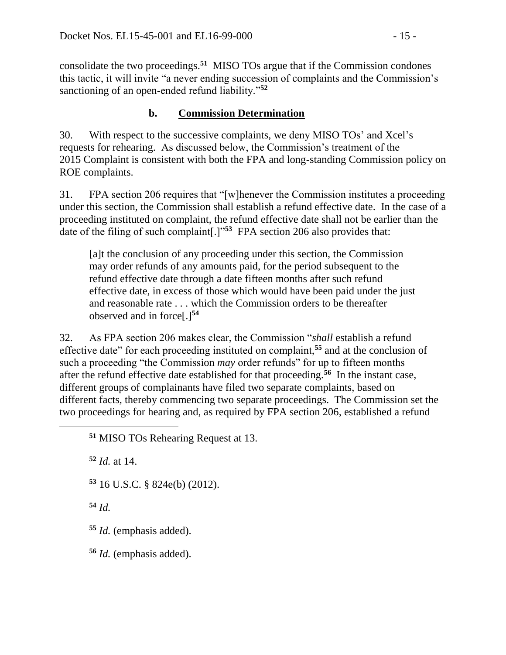consolidate the two proceedings.**<sup>51</sup>** MISO TOs argue that if the Commission condones this tactic, it will invite "a never ending succession of complaints and the Commission's sanctioning of an open-ended refund liability."**<sup>52</sup>**

## **b. Commission Determination**

30. With respect to the successive complaints, we deny MISO TOs' and Xcel's requests for rehearing. As discussed below, the Commission's treatment of the 2015 Complaint is consistent with both the FPA and long-standing Commission policy on ROE complaints.

31. FPA section 206 requires that "[w]henever the Commission institutes a proceeding under this section, the Commission shall establish a refund effective date. In the case of a proceeding instituted on complaint, the refund effective date shall not be earlier than the date of the filing of such complaint[.]"**<sup>53</sup>** FPA section 206 also provides that:

[a]t the conclusion of any proceeding under this section, the Commission may order refunds of any amounts paid, for the period subsequent to the refund effective date through a date fifteen months after such refund effective date, in excess of those which would have been paid under the just and reasonable rate . . . which the Commission orders to be thereafter observed and in force[.]**<sup>54</sup>**

32. As FPA section 206 makes clear, the Commission "*shall* establish a refund effective date" for each proceeding instituted on complaint,**<sup>55</sup>** and at the conclusion of such a proceeding "the Commission *may* order refunds" for up to fifteen months after the refund effective date established for that proceeding.**<sup>56</sup>** In the instant case, different groups of complainants have filed two separate complaints, based on different facts, thereby commencing two separate proceedings. The Commission set the two proceedings for hearing and, as required by FPA section 206, established a refund

**<sup>52</sup>** *Id.* at 14.

**<sup>53</sup>** 16 U.S.C. § 824e(b) (2012).

**<sup>54</sup>** *Id.*

 $\overline{a}$ 

**<sup>55</sup>** *Id.* (emphasis added).

**<sup>56</sup>** *Id.* (emphasis added).

**<sup>51</sup>** MISO TOs Rehearing Request at 13.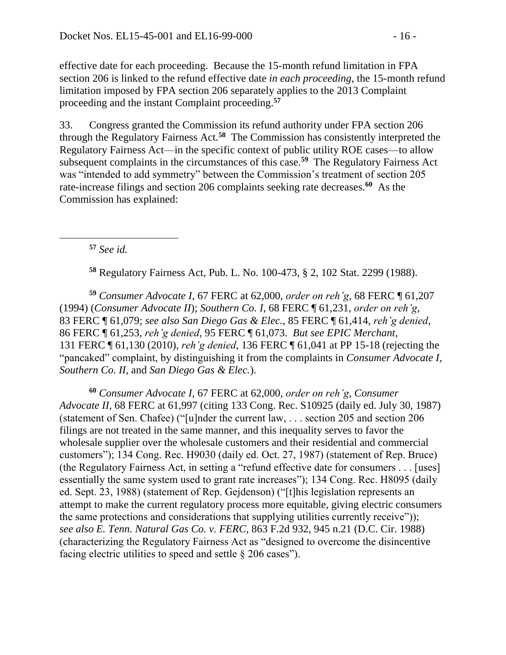effective date for each proceeding. Because the 15-month refund limitation in FPA section 206 is linked to the refund effective date *in each proceeding*, the 15-month refund limitation imposed by FPA section 206 separately applies to the 2013 Complaint proceeding and the instant Complaint proceeding.**<sup>57</sup>**

33. Congress granted the Commission its refund authority under FPA section 206 through the Regulatory Fairness Act.**<sup>58</sup>** The Commission has consistently interpreted the Regulatory Fairness Act—in the specific context of public utility ROE cases—to allow subsequent complaints in the circumstances of this case.**<sup>59</sup>** The Regulatory Fairness Act was "intended to add symmetry" between the Commission's treatment of section 205 rate-increase filings and section 206 complaints seeking rate decreases.**<sup>60</sup>** As the Commission has explained:

**<sup>57</sup>** *See id.*

**<sup>58</sup>** Regulatory Fairness Act, Pub. L. No. 100-473, § 2, 102 Stat. 2299 (1988).

**<sup>59</sup>** *Consumer Advocate I*, 67 FERC at 62,000, *order on reh'g*, 68 FERC ¶ 61,207 (1994) (*Consumer Advocate II*); *Southern Co. I*, 68 FERC ¶ 61,231, *order on reh'g*, 83 FERC ¶ 61,079; *see also San Diego Gas & Elec.,* 85 FERC ¶ 61,414, *reh'g denied*, 86 FERC ¶ 61,253, *reh'g denied*, 95 FERC ¶ 61,073. *But see EPIC Merchant,* 131 FERC ¶ 61,130 (2010), *reh'g denied*, 136 FERC ¶ 61,041 at PP 15-18 (rejecting the "pancaked" complaint, by distinguishing it from the complaints in *Consumer Advocate I, Southern Co. II,* and *San Diego Gas & Elec.*).

**<sup>60</sup>** *Consumer Advocate I*, 67 FERC at 62,000, *order on reh'g*, *Consumer Advocate II*, 68 FERC at 61,997 (citing 133 Cong. Rec. S10925 (daily ed. July 30, 1987) (statement of Sen. Chafee) ("[u]nder the current law, . . . section 205 and section 206 filings are not treated in the same manner, and this inequality serves to favor the wholesale supplier over the wholesale customers and their residential and commercial customers"); 134 Cong. Rec. H9030 (daily ed. Oct. 27, 1987) (statement of Rep. Bruce) (the Regulatory Fairness Act, in setting a "refund effective date for consumers . . . [uses] essentially the same system used to grant rate increases"); 134 Cong. Rec. H8095 (daily ed. Sept. 23, 1988) (statement of Rep. Gejdenson) ("[t]his legislation represents an attempt to make the current regulatory process more equitable, giving electric consumers the same protections and considerations that supplying utilities currently receive")); *see also E. Tenn. Natural Gas Co. v. FERC*, 863 F.2d 932, 945 n.21 (D.C. Cir. 1988) (characterizing the Regulatory Fairness Act as "designed to overcome the disincentive facing electric utilities to speed and settle § 206 cases").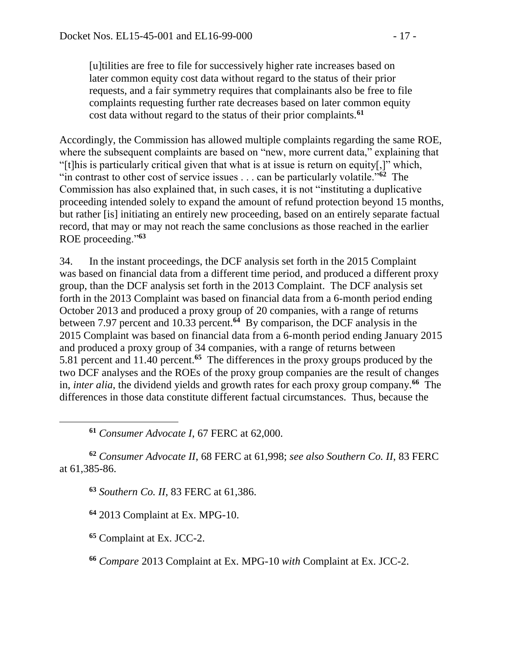[u]tilities are free to file for successively higher rate increases based on later common equity cost data without regard to the status of their prior requests, and a fair symmetry requires that complainants also be free to file complaints requesting further rate decreases based on later common equity cost data without regard to the status of their prior complaints.**<sup>61</sup>**

Accordingly, the Commission has allowed multiple complaints regarding the same ROE, where the subsequent complaints are based on "new, more current data," explaining that "[t]his is particularly critical given that what is at issue is return on equity[,]" which, "in contrast to other cost of service issues . . . can be particularly volatile."**<sup>62</sup>** The Commission has also explained that, in such cases, it is not "instituting a duplicative proceeding intended solely to expand the amount of refund protection beyond 15 months, but rather [is] initiating an entirely new proceeding, based on an entirely separate factual record, that may or may not reach the same conclusions as those reached in the earlier ROE proceeding."**<sup>63</sup>**

34. In the instant proceedings, the DCF analysis set forth in the 2015 Complaint was based on financial data from a different time period, and produced a different proxy group, than the DCF analysis set forth in the 2013 Complaint. The DCF analysis set forth in the 2013 Complaint was based on financial data from a 6-month period ending October 2013 and produced a proxy group of 20 companies, with a range of returns between 7.97 percent and 10.33 percent.**<sup>64</sup>** By comparison, the DCF analysis in the 2015 Complaint was based on financial data from a 6-month period ending January 2015 and produced a proxy group of 34 companies, with a range of returns between 5.81 percent and 11.40 percent.**<sup>65</sup>** The differences in the proxy groups produced by the two DCF analyses and the ROEs of the proxy group companies are the result of changes in, *inter alia*, the dividend yields and growth rates for each proxy group company.**<sup>66</sup>** The differences in those data constitute different factual circumstances. Thus, because the

**<sup>61</sup>** *Consumer Advocate I*, 67 FERC at 62,000.

**<sup>62</sup>** *Consumer Advocate II*, 68 FERC at 61,998; *see also Southern Co. II*, 83 FERC at 61,385-86.

**<sup>63</sup>** *Southern Co. II*, 83 FERC at 61,386.

**<sup>64</sup>** 2013 Complaint at Ex. MPG-10.

**<sup>65</sup>** Complaint at Ex. JCC-2.

 $\overline{a}$ 

**<sup>66</sup>** *Compare* 2013 Complaint at Ex. MPG-10 *with* Complaint at Ex. JCC-2.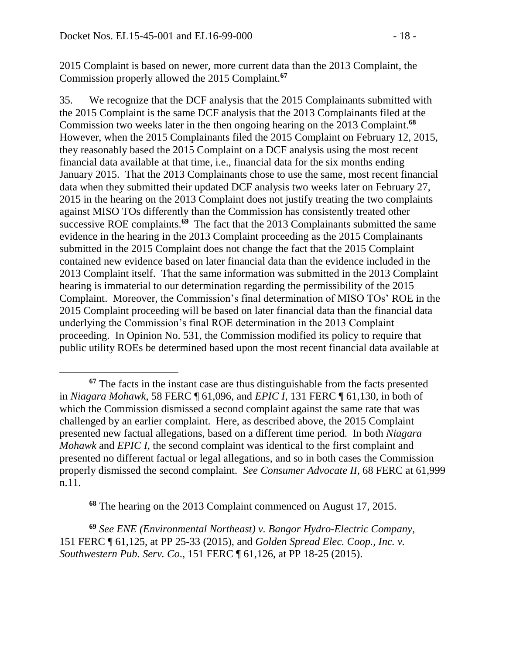$\overline{a}$ 

2015 Complaint is based on newer, more current data than the 2013 Complaint, the Commission properly allowed the 2015 Complaint.**<sup>67</sup>**

35. We recognize that the DCF analysis that the 2015 Complainants submitted with the 2015 Complaint is the same DCF analysis that the 2013 Complainants filed at the Commission two weeks later in the then ongoing hearing on the 2013 Complaint.**<sup>68</sup>** However, when the 2015 Complainants filed the 2015 Complaint on February 12, 2015, they reasonably based the 2015 Complaint on a DCF analysis using the most recent financial data available at that time, i.e., financial data for the six months ending January 2015. That the 2013 Complainants chose to use the same, most recent financial data when they submitted their updated DCF analysis two weeks later on February 27, 2015 in the hearing on the 2013 Complaint does not justify treating the two complaints against MISO TOs differently than the Commission has consistently treated other successive ROE complaints.<sup>69</sup> The fact that the 2013 Complainants submitted the same evidence in the hearing in the 2013 Complaint proceeding as the 2015 Complainants submitted in the 2015 Complaint does not change the fact that the 2015 Complaint contained new evidence based on later financial data than the evidence included in the 2013 Complaint itself. That the same information was submitted in the 2013 Complaint hearing is immaterial to our determination regarding the permissibility of the 2015 Complaint. Moreover, the Commission's final determination of MISO TOs' ROE in the 2015 Complaint proceeding will be based on later financial data than the financial data underlying the Commission's final ROE determination in the 2013 Complaint proceeding. In Opinion No. 531, the Commission modified its policy to require that public utility ROEs be determined based upon the most recent financial data available at

**<sup>68</sup>** The hearing on the 2013 Complaint commenced on August 17, 2015.

**<sup>69</sup>** *See ENE (Environmental Northeast) v. Bangor Hydro-Electric Company*, 151 FERC ¶ 61,125, at PP 25-33 (2015), and *Golden Spread Elec. Coop., Inc. v. Southwestern Pub. Serv. Co*., 151 FERC ¶ 61,126, at PP 18-25 (2015).

**<sup>67</sup>** The facts in the instant case are thus distinguishable from the facts presented in *Niagara Mohawk*, 58 FERC ¶ 61,096, and *EPIC I*, 131 FERC ¶ 61,130, in both of which the Commission dismissed a second complaint against the same rate that was challenged by an earlier complaint. Here, as described above, the 2015 Complaint presented new factual allegations, based on a different time period. In both *Niagara Mohawk* and *EPIC I*, the second complaint was identical to the first complaint and presented no different factual or legal allegations, and so in both cases the Commission properly dismissed the second complaint. *See Consumer Advocate II*, 68 FERC at 61,999 n.11.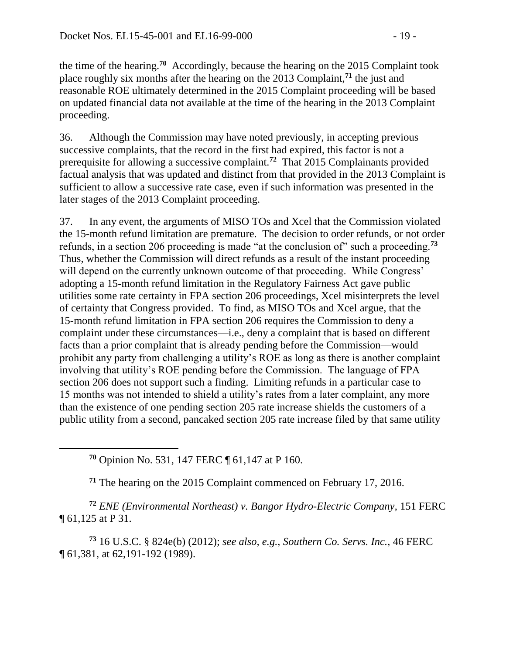the time of the hearing.**<sup>70</sup>** Accordingly, because the hearing on the 2015 Complaint took place roughly six months after the hearing on the 2013 Complaint,**<sup>71</sup>** the just and reasonable ROE ultimately determined in the 2015 Complaint proceeding will be based on updated financial data not available at the time of the hearing in the 2013 Complaint proceeding.

36. Although the Commission may have noted previously, in accepting previous successive complaints, that the record in the first had expired, this factor is not a prerequisite for allowing a successive complaint.**<sup>72</sup>** That 2015 Complainants provided factual analysis that was updated and distinct from that provided in the 2013 Complaint is sufficient to allow a successive rate case, even if such information was presented in the later stages of the 2013 Complaint proceeding.

37. In any event, the arguments of MISO TOs and Xcel that the Commission violated the 15-month refund limitation are premature. The decision to order refunds, or not order refunds, in a section 206 proceeding is made "at the conclusion of" such a proceeding.**<sup>73</sup>** Thus, whether the Commission will direct refunds as a result of the instant proceeding will depend on the currently unknown outcome of that proceeding. While Congress' adopting a 15-month refund limitation in the Regulatory Fairness Act gave public utilities some rate certainty in FPA section 206 proceedings, Xcel misinterprets the level of certainty that Congress provided. To find, as MISO TOs and Xcel argue, that the 15-month refund limitation in FPA section 206 requires the Commission to deny a complaint under these circumstances—i.e., deny a complaint that is based on different facts than a prior complaint that is already pending before the Commission—would prohibit any party from challenging a utility's ROE as long as there is another complaint involving that utility's ROE pending before the Commission. The language of FPA section 206 does not support such a finding. Limiting refunds in a particular case to 15 months was not intended to shield a utility's rates from a later complaint, any more than the existence of one pending section 205 rate increase shields the customers of a public utility from a second, pancaked section 205 rate increase filed by that same utility

**<sup>70</sup>** Opinion No. 531, 147 FERC ¶ 61,147 at P 160.

**<sup>71</sup>** The hearing on the 2015 Complaint commenced on February 17, 2016.

**<sup>72</sup>** *ENE (Environmental Northeast) v. Bangor Hydro-Electric Company*, 151 FERC ¶ 61,125 at P 31.

**<sup>73</sup>** 16 U.S.C. § 824e(b) (2012); *see also, e.g.*, *Southern Co. Servs. Inc.*, 46 FERC ¶ 61,381, at 62,191-192 (1989).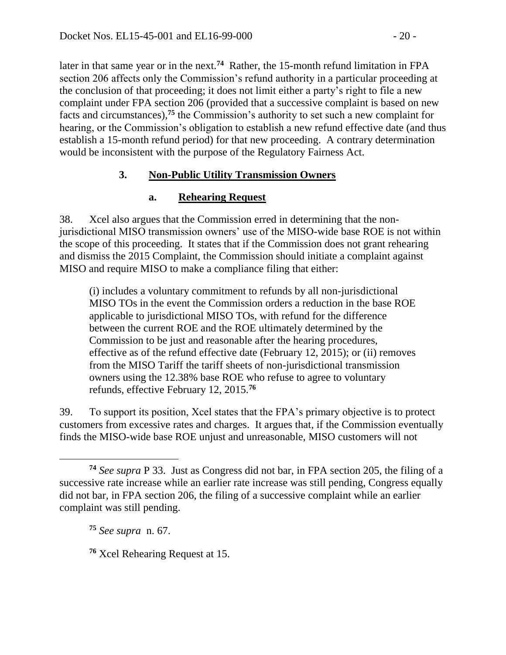later in that same year or in the next.**<sup>74</sup>** Rather, the 15-month refund limitation in FPA section 206 affects only the Commission's refund authority in a particular proceeding at the conclusion of that proceeding; it does not limit either a party's right to file a new complaint under FPA section 206 (provided that a successive complaint is based on new facts and circumstances), **<sup>75</sup>** the Commission's authority to set such a new complaint for hearing, or the Commission's obligation to establish a new refund effective date (and thus establish a 15-month refund period) for that new proceeding. A contrary determination would be inconsistent with the purpose of the Regulatory Fairness Act.

## **3. Non-Public Utility Transmission Owners**

## **a. Rehearing Request**

38. Xcel also argues that the Commission erred in determining that the nonjurisdictional MISO transmission owners' use of the MISO-wide base ROE is not within the scope of this proceeding. It states that if the Commission does not grant rehearing and dismiss the 2015 Complaint, the Commission should initiate a complaint against MISO and require MISO to make a compliance filing that either:

(i) includes a voluntary commitment to refunds by all non-jurisdictional MISO TOs in the event the Commission orders a reduction in the base ROE applicable to jurisdictional MISO TOs, with refund for the difference between the current ROE and the ROE ultimately determined by the Commission to be just and reasonable after the hearing procedures, effective as of the refund effective date (February 12, 2015); or (ii) removes from the MISO Tariff the tariff sheets of non-jurisdictional transmission owners using the 12.38% base ROE who refuse to agree to voluntary refunds, effective February 12, 2015.**<sup>76</sup>**

39. To support its position, Xcel states that the FPA's primary objective is to protect customers from excessive rates and charges. It argues that, if the Commission eventually finds the MISO-wide base ROE unjust and unreasonable, MISO customers will not

**<sup>75</sup>** *See supra* n. 67.

 $\overline{a}$ 

**<sup>76</sup>** Xcel Rehearing Request at 15.

**<sup>74</sup>** *See supra* P 33. Just as Congress did not bar, in FPA section 205, the filing of a successive rate increase while an earlier rate increase was still pending, Congress equally did not bar, in FPA section 206, the filing of a successive complaint while an earlier complaint was still pending.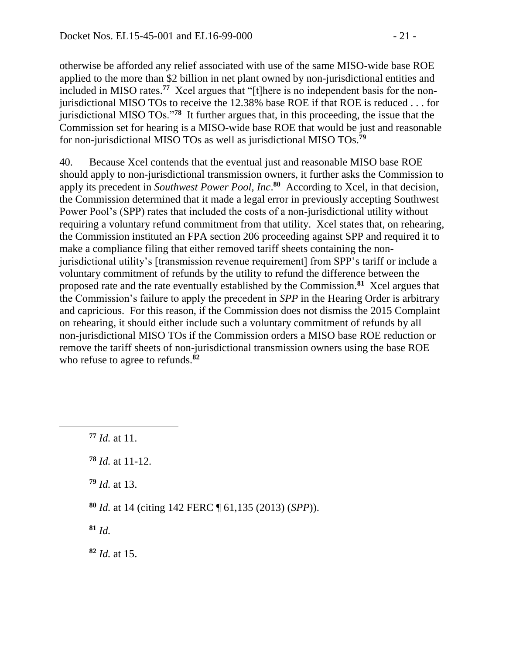otherwise be afforded any relief associated with use of the same MISO-wide base ROE applied to the more than \$2 billion in net plant owned by non-jurisdictional entities and included in MISO rates.**<sup>77</sup>** Xcel argues that "[t]here is no independent basis for the nonjurisdictional MISO TOs to receive the 12.38% base ROE if that ROE is reduced . . . for jurisdictional MISO TOs."**<sup>78</sup>** It further argues that, in this proceeding, the issue that the Commission set for hearing is a MISO-wide base ROE that would be just and reasonable for non-jurisdictional MISO TOs as well as jurisdictional MISO TOs.**<sup>79</sup>**

40. Because Xcel contends that the eventual just and reasonable MISO base ROE should apply to non-jurisdictional transmission owners, it further asks the Commission to apply its precedent in *Southwest Power Pool, Inc.*<sup>80</sup> According to Xcel, in that decision, the Commission determined that it made a legal error in previously accepting Southwest Power Pool's (SPP) rates that included the costs of a non-jurisdictional utility without requiring a voluntary refund commitment from that utility. Xcel states that, on rehearing, the Commission instituted an FPA section 206 proceeding against SPP and required it to make a compliance filing that either removed tariff sheets containing the nonjurisdictional utility's [transmission revenue requirement] from SPP's tariff or include a voluntary commitment of refunds by the utility to refund the difference between the proposed rate and the rate eventually established by the Commission.**<sup>81</sup>** Xcel argues that the Commission's failure to apply the precedent in *SPP* in the Hearing Order is arbitrary and capricious. For this reason, if the Commission does not dismiss the 2015 Complaint on rehearing, it should either include such a voluntary commitment of refunds by all non-jurisdictional MISO TOs if the Commission orders a MISO base ROE reduction or remove the tariff sheets of non-jurisdictional transmission owners using the base ROE who refuse to agree to refunds.**<sup>82</sup>**

**<sup>77</sup>** *Id.* at 11.

 $\overline{a}$ 

- **<sup>78</sup>** *Id.* at 11-12.
- **<sup>79</sup>** *Id.* at 13.
- **<sup>80</sup>** *Id.* at 14 (citing 142 FERC ¶ 61,135 (2013) (*SPP*)).
- **<sup>81</sup>** *Id.*
- **<sup>82</sup>** *Id.* at 15.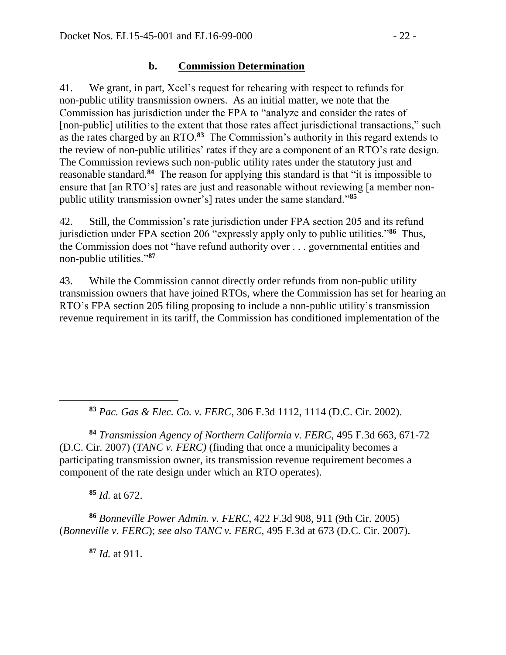#### **b. Commission Determination**

41. We grant, in part, Xcel's request for rehearing with respect to refunds for non-public utility transmission owners. As an initial matter, we note that the Commission has jurisdiction under the FPA to "analyze and consider the rates of [non-public] utilities to the extent that those rates affect jurisdictional transactions," such as the rates charged by an RTO.**<sup>83</sup>** The Commission's authority in this regard extends to the review of non-public utilities' rates if they are a component of an RTO's rate design. The Commission reviews such non-public utility rates under the statutory just and reasonable standard.<sup>84</sup> The reason for applying this standard is that "it is impossible to ensure that [an RTO's] rates are just and reasonable without reviewing [a member nonpublic utility transmission owner's] rates under the same standard."**<sup>85</sup>**

42. Still, the Commission's rate jurisdiction under FPA section 205 and its refund jurisdiction under FPA section 206 "expressly apply only to public utilities."<sup>86</sup> Thus, the Commission does not "have refund authority over . . . governmental entities and non-public utilities."**<sup>87</sup>**

43. While the Commission cannot directly order refunds from non-public utility transmission owners that have joined RTOs, where the Commission has set for hearing an RTO's FPA section 205 filing proposing to include a non-public utility's transmission revenue requirement in its tariff, the Commission has conditioned implementation of the

**<sup>83</sup>** *Pac. Gas & Elec. Co. v. FERC*, 306 F.3d 1112, 1114 (D.C. Cir. 2002).

**<sup>84</sup>** *Transmission Agency of Northern California v. FERC*, 495 F.3d 663, 671-72 (D.C. Cir. 2007) (*TANC v. FERC)* (finding that once a municipality becomes a participating transmission owner, its transmission revenue requirement becomes a component of the rate design under which an RTO operates).

**<sup>85</sup>** *Id.* at 672.

 $\overline{a}$ 

**<sup>86</sup>** *Bonneville Power Admin. v. FERC*, 422 F.3d 908, 911 (9th Cir. 2005) (*Bonneville v. FERC*); *see also TANC v. FERC*, 495 F.3d at 673 (D.C. Cir. 2007).

**<sup>87</sup>** *Id.* at 911.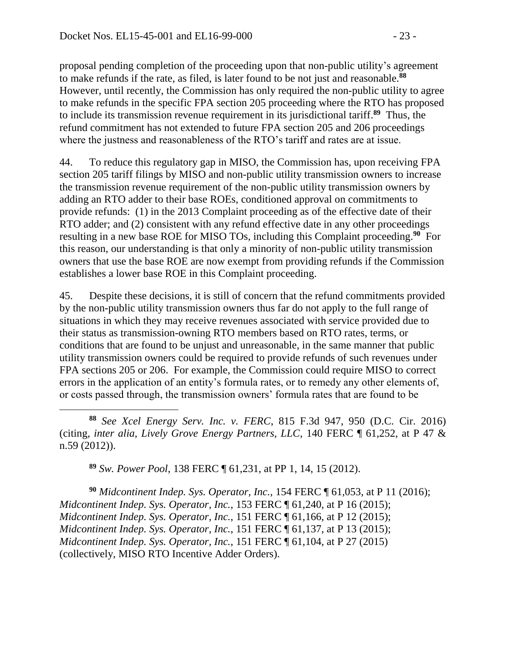proposal pending completion of the proceeding upon that non-public utility's agreement to make refunds if the rate, as filed, is later found to be not just and reasonable.**<sup>88</sup>** However, until recently, the Commission has only required the non-public utility to agree to make refunds in the specific FPA section 205 proceeding where the RTO has proposed to include its transmission revenue requirement in its jurisdictional tariff. **89** Thus, the refund commitment has not extended to future FPA section 205 and 206 proceedings where the justness and reasonableness of the RTO's tariff and rates are at issue.

44. To reduce this regulatory gap in MISO, the Commission has, upon receiving FPA section 205 tariff filings by MISO and non-public utility transmission owners to increase the transmission revenue requirement of the non-public utility transmission owners by adding an RTO adder to their base ROEs, conditioned approval on commitments to provide refunds: (1) in the 2013 Complaint proceeding as of the effective date of their RTO adder; and (2) consistent with any refund effective date in any other proceedings resulting in a new base ROE for MISO TOs, including this Complaint proceeding. **90** For this reason, our understanding is that only a minority of non-public utility transmission owners that use the base ROE are now exempt from providing refunds if the Commission establishes a lower base ROE in this Complaint proceeding.

45. Despite these decisions, it is still of concern that the refund commitments provided by the non-public utility transmission owners thus far do not apply to the full range of situations in which they may receive revenues associated with service provided due to their status as transmission-owning RTO members based on RTO rates, terms, or conditions that are found to be unjust and unreasonable, in the same manner that public utility transmission owners could be required to provide refunds of such revenues under FPA sections 205 or 206. For example, the Commission could require MISO to correct errors in the application of an entity's formula rates, or to remedy any other elements of, or costs passed through, the transmission owners' formula rates that are found to be

**<sup>88</sup>** *See Xcel Energy Serv. Inc. v. FERC*, 815 F.3d 947, 950 (D.C. Cir. 2016) (citing, *inter alia*, *Lively Grove Energy Partners, LLC*, 140 FERC ¶ 61,252, at P 47 & n.59 (2012)).

**<sup>89</sup>** *Sw. Power Pool*, 138 FERC ¶ 61,231, at PP 1, 14, 15 (2012).

**<sup>90</sup>** *Midcontinent Indep. Sys. Operator, Inc.*, 154 FERC ¶ 61,053, at P 11 (2016); *Midcontinent Indep. Sys. Operator, Inc.*, 153 FERC ¶ 61,240, at P 16 (2015); *Midcontinent Indep. Sys. Operator, Inc.*, 151 FERC ¶ 61,166, at P 12 (2015); *Midcontinent Indep. Sys. Operator, Inc.*, 151 FERC ¶ 61,137, at P 13 (2015); *Midcontinent Indep. Sys. Operator, Inc.*, 151 FERC ¶ 61,104, at P 27 (2015) (collectively, MISO RTO Incentive Adder Orders).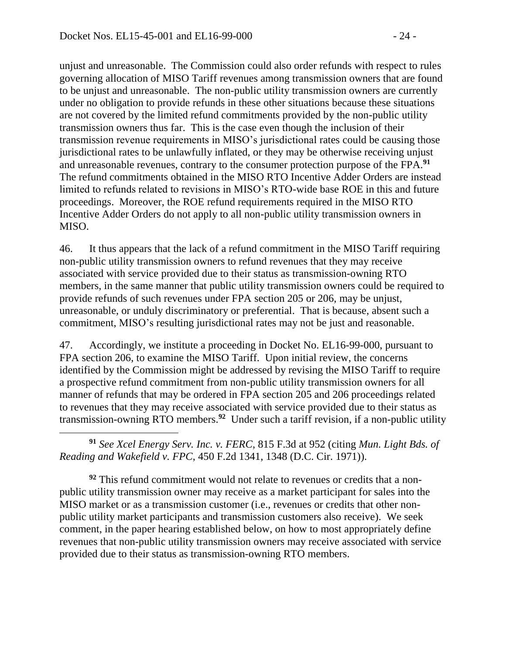$\overline{a}$ 

unjust and unreasonable. The Commission could also order refunds with respect to rules governing allocation of MISO Tariff revenues among transmission owners that are found to be unjust and unreasonable. The non-public utility transmission owners are currently under no obligation to provide refunds in these other situations because these situations are not covered by the limited refund commitments provided by the non-public utility transmission owners thus far. This is the case even though the inclusion of their transmission revenue requirements in MISO's jurisdictional rates could be causing those jurisdictional rates to be unlawfully inflated, or they may be otherwise receiving unjust and unreasonable revenues, contrary to the consumer protection purpose of the FPA.**<sup>91</sup>** The refund commitments obtained in the MISO RTO Incentive Adder Orders are instead limited to refunds related to revisions in MISO's RTO-wide base ROE in this and future proceedings. Moreover, the ROE refund requirements required in the MISO RTO Incentive Adder Orders do not apply to all non-public utility transmission owners in MISO.

46. It thus appears that the lack of a refund commitment in the MISO Tariff requiring non-public utility transmission owners to refund revenues that they may receive associated with service provided due to their status as transmission-owning RTO members, in the same manner that public utility transmission owners could be required to provide refunds of such revenues under FPA section 205 or 206, may be unjust, unreasonable, or unduly discriminatory or preferential. That is because, absent such a commitment, MISO's resulting jurisdictional rates may not be just and reasonable.

47. Accordingly, we institute a proceeding in Docket No. EL16-99-000, pursuant to FPA section 206, to examine the MISO Tariff. Upon initial review, the concerns identified by the Commission might be addressed by revising the MISO Tariff to require a prospective refund commitment from non-public utility transmission owners for all manner of refunds that may be ordered in FPA section 205 and 206 proceedings related to revenues that they may receive associated with service provided due to their status as transmission-owning RTO members. **92** Under such a tariff revision, if a non-public utility

**<sup>91</sup>** *See Xcel Energy Serv. Inc. v. FERC*, 815 F.3d at 952 (citing *Mun. Light Bds. of Reading and Wakefield v. FPC*, 450 F.2d 1341, 1348 (D.C. Cir. 1971)).

**<sup>92</sup>** This refund commitment would not relate to revenues or credits that a nonpublic utility transmission owner may receive as a market participant for sales into the MISO market or as a transmission customer (i.e., revenues or credits that other nonpublic utility market participants and transmission customers also receive). We seek comment, in the paper hearing established below, on how to most appropriately define revenues that non-public utility transmission owners may receive associated with service provided due to their status as transmission-owning RTO members.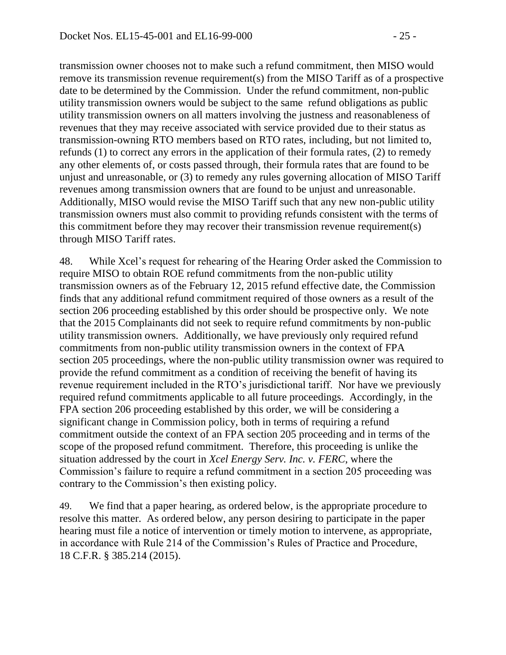transmission owner chooses not to make such a refund commitment, then MISO would remove its transmission revenue requirement(s) from the MISO Tariff as of a prospective date to be determined by the Commission. Under the refund commitment, non-public utility transmission owners would be subject to the same refund obligations as public utility transmission owners on all matters involving the justness and reasonableness of revenues that they may receive associated with service provided due to their status as transmission-owning RTO members based on RTO rates, including, but not limited to, refunds (1) to correct any errors in the application of their formula rates, (2) to remedy any other elements of, or costs passed through, their formula rates that are found to be unjust and unreasonable, or (3) to remedy any rules governing allocation of MISO Tariff revenues among transmission owners that are found to be unjust and unreasonable. Additionally, MISO would revise the MISO Tariff such that any new non-public utility transmission owners must also commit to providing refunds consistent with the terms of this commitment before they may recover their transmission revenue requirement(s) through MISO Tariff rates.

48. While Xcel's request for rehearing of the Hearing Order asked the Commission to require MISO to obtain ROE refund commitments from the non-public utility transmission owners as of the February 12, 2015 refund effective date, the Commission finds that any additional refund commitment required of those owners as a result of the section 206 proceeding established by this order should be prospective only. We note that the 2015 Complainants did not seek to require refund commitments by non-public utility transmission owners. Additionally, we have previously only required refund commitments from non-public utility transmission owners in the context of FPA section 205 proceedings, where the non-public utility transmission owner was required to provide the refund commitment as a condition of receiving the benefit of having its revenue requirement included in the RTO's jurisdictional tariff. Nor have we previously required refund commitments applicable to all future proceedings. Accordingly, in the FPA section 206 proceeding established by this order, we will be considering a significant change in Commission policy, both in terms of requiring a refund commitment outside the context of an FPA section 205 proceeding and in terms of the scope of the proposed refund commitment. Therefore, this proceeding is unlike the situation addressed by the court in *Xcel Energy Serv. Inc. v. FERC*, where the Commission's failure to require a refund commitment in a section 205 proceeding was contrary to the Commission's then existing policy.

49. We find that a paper hearing, as ordered below, is the appropriate procedure to resolve this matter. As ordered below, any person desiring to participate in the paper hearing must file a notice of intervention or timely motion to intervene, as appropriate, in accordance with Rule 214 of the Commission's Rules of Practice and Procedure, 18 C.F.R. § 385.214 (2015).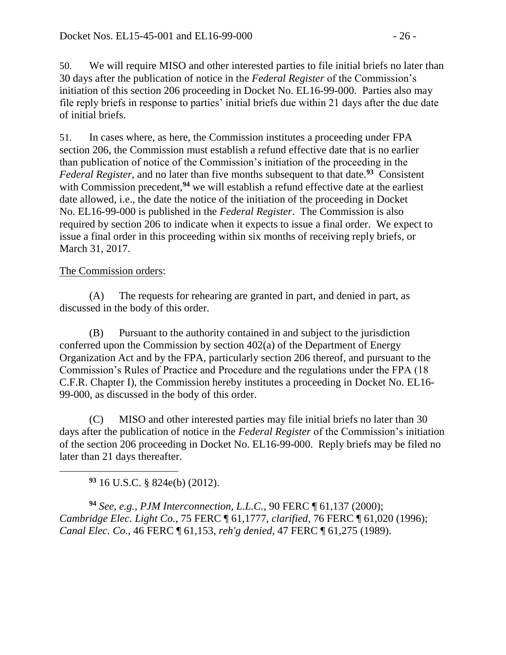50. We will require MISO and other interested parties to file initial briefs no later than 30 days after the publication of notice in the *Federal Register* of the Commission's initiation of this section 206 proceeding in Docket No. EL16-99-000. Parties also may file reply briefs in response to parties' initial briefs due within 21 days after the due date of initial briefs.

51. In cases where, as here, the Commission institutes a proceeding under FPA section 206, the Commission must establish a refund effective date that is no earlier than publication of notice of the Commission's initiation of the proceeding in the *Federal Register*, and no later than five months subsequent to that date.**<sup>93</sup>** Consistent with Commission precedent,<sup>94</sup> we will establish a refund effective date at the earliest date allowed, i.e., the date the notice of the initiation of the proceeding in Docket No. EL16-99-000 is published in the *Federal Register*. The Commission is also required by section 206 to indicate when it expects to issue a final order. We expect to issue a final order in this proceeding within six months of receiving reply briefs, or March 31, 2017.

#### The Commission orders:

(A) The requests for rehearing are granted in part, and denied in part, as discussed in the body of this order.

(B) Pursuant to the authority contained in and subject to the jurisdiction conferred upon the Commission by section 402(a) of the Department of Energy Organization Act and by the FPA, particularly section 206 thereof, and pursuant to the Commission's Rules of Practice and Procedure and the regulations under the FPA (18 C.F.R. Chapter I), the Commission hereby institutes a proceeding in Docket No. EL16- 99-000, as discussed in the body of this order.

(C) MISO and other interested parties may file initial briefs no later than 30 days after the publication of notice in the *Federal Register* of the Commission's initiation of the section 206 proceeding in Docket No. EL16-99-000. Reply briefs may be filed no later than 21 days thereafter.

**<sup>93</sup>** 16 U.S.C. § 824e(b) (2012).

**<sup>94</sup>** *See, e.g., PJM Interconnection, L.L.C.*, 90 FERC ¶ 61,137 (2000); *Cambridge Elec. Light Co.*, 75 FERC ¶ 61,1777, *clarified*, 76 FERC ¶ 61,020 (1996); *Canal Elec. Co.*, 46 FERC ¶ 61,153, *reh'g denied*, 47 FERC ¶ 61,275 (1989).